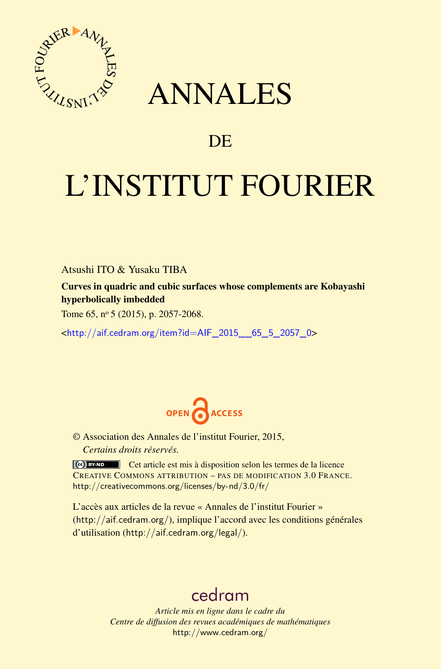

## ANNALES

### **DE**

# L'INSTITUT FOURIER

Atsushi ITO & Yusaku TIBA

Curves in quadric and cubic surfaces whose complements are Kobayashi hyperbolically imbedded

Tome 65,  $n^{\circ}$  5 (2015), p. 2057-2068.

<[http://aif.cedram.org/item?id=AIF\\_2015\\_\\_65\\_5\\_2057\\_0](http://aif.cedram.org/item?id=AIF_2015__65_5_2057_0)>



© Association des Annales de l'institut Fourier, 2015, *Certains droits réservés.*

Cet article est mis à disposition selon les termes de la licence CREATIVE COMMONS ATTRIBUTION – PAS DE MODIFICATION 3.0 FRANCE. <http://creativecommons.org/licenses/by-nd/3.0/fr/>

L'accès aux articles de la revue « Annales de l'institut Fourier » (<http://aif.cedram.org/>), implique l'accord avec les conditions générales d'utilisation (<http://aif.cedram.org/legal/>).

## [cedram](http://www.cedram.org/)

*Article mis en ligne dans le cadre du Centre de diffusion des revues académiques de mathématiques* <http://www.cedram.org/>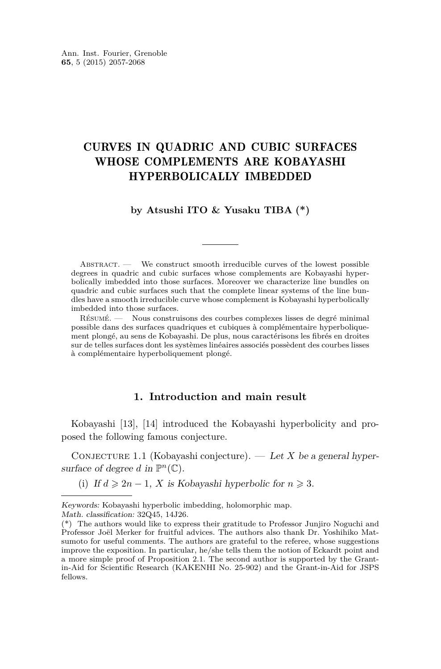#### CURVES IN QUADRIC AND CUBIC SURFACES WHOSE COMPLEMENTS ARE KOBAYASHI HYPERBOLICALLY IMBEDDED

#### **by Atsushi ITO & Yusaku TIBA (\*)**

ABSTRACT. — We construct smooth irreducible curves of the lowest possible degrees in quadric and cubic surfaces whose complements are Kobayashi hyperbolically imbedded into those surfaces. Moreover we characterize line bundles on quadric and cubic surfaces such that the complete linear systems of the line bundles have a smooth irreducible curve whose complement is Kobayashi hyperbolically imbedded into those surfaces.

Résumé. — Nous construisons des courbes complexes lisses de degré minimal possible dans des surfaces quadriques et cubiques à complémentaire hyperboliquement plongé, au sens de Kobayashi. De plus, nous caractérisons les fibrés en droites sur de telles surfaces dont les systèmes linéaires associés possèdent des courbes lisses à complémentaire hyperboliquement plongé.

#### **1. Introduction and main result**

Kobayashi [\[13\]](#page-11-0), [\[14\]](#page-11-0) introduced the Kobayashi hyperbolicity and proposed the following famous conjecture.

CONJECTURE 1.1 (Kobayashi conjecture). — Let X be a general hypersurface of degree d in  $\mathbb{P}^n(\mathbb{C})$ .

(i) If  $d \geq 2n - 1$ , *X* is Kobayashi hyperbolic for  $n \geq 3$ .

Keywords: Kobayashi hyperbolic imbedding, holomorphic map. Math. classification: 32Q45, 14J26.

<sup>(\*)</sup> The authors would like to express their gratitude to Professor Junjiro Noguchi and Professor Joël Merker for fruitful advices. The authors also thank Dr. Yoshihiko Matsumoto for useful comments. The authors are grateful to the referee, whose suggestions improve the exposition. In particular, he/she tells them the notion of Eckardt point and a more simple proof of Proposition [2.1.](#page-5-0) The second author is supported by the Grantin-Aid for Scientific Research (KAKENHI No. 25-902) and the Grant-in-Aid for JSPS fellows.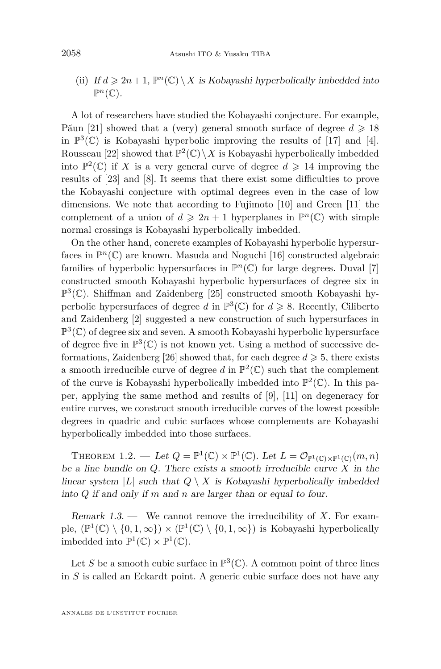<span id="page-2-0"></span>(ii) If  $d \geq 2n + 1$ ,  $\mathbb{P}^n(\mathbb{C}) \setminus X$  is Kobayashi hyperbolically imbedded into  $\mathbb{P}^n(\mathbb{C})$ .

A lot of researchers have studied the Kobayashi conjecture. For example, Păun [\[21\]](#page-12-0) showed that a (very) general smooth surface of degree  $d \geq 18$ in  $\mathbb{P}^3(\mathbb{C})$  is Kobayashi hyperbolic improving the results of [\[17\]](#page-12-0) and [\[4\]](#page-11-0). Rousseau [\[22\]](#page-12-0) showed that  $\mathbb{P}^2(\mathbb{C})\setminus X$  is Kobayashi hyperbolically imbedded into  $\mathbb{P}^2(\mathbb{C})$  if *X* is a very general curve of degree  $d \geq 14$  improving the results of [\[23\]](#page-12-0) and [\[8\]](#page-11-0). It seems that there exist some difficulties to prove the Kobayashi conjecture with optimal degrees even in the case of low dimensions. We note that according to Fujimoto [\[10\]](#page-11-0) and Green [\[11\]](#page-11-0) the complement of a union of  $d \geq 2n + 1$  hyperplanes in  $\mathbb{P}^n(\mathbb{C})$  with simple normal crossings is Kobayashi hyperbolically imbedded.

On the other hand, concrete examples of Kobayashi hyperbolic hypersurfaces in  $\mathbb{P}^n(\mathbb{C})$  are known. Masuda and Noguchi [\[16\]](#page-12-0) constructed algebraic families of hyperbolic hypersurfaces in  $\mathbb{P}^n(\mathbb{C})$  for large degrees. Duval [\[7\]](#page-11-0) constructed smooth Kobayashi hyperbolic hypersurfaces of degree six in P 3 (C). Shiffman and Zaidenberg [\[25\]](#page-12-0) constructed smooth Kobayashi hyperbolic hypersurfaces of degree *d* in  $\mathbb{P}^3(\mathbb{C})$  for  $d \geq 8$ . Recently, Ciliberto and Zaidenberg [\[2\]](#page-11-0) suggested a new construction of such hypersurfaces in  $\mathbb{P}^{3}(\mathbb{C})$  of degree six and seven. A smooth Kobayashi hyperbolic hypersurface of degree five in  $\mathbb{P}^3(\mathbb{C})$  is not known yet. Using a method of successive de-formations, Zaidenberg [\[26\]](#page-12-0) showed that, for each degree  $d \geq 5$ , there exists a smooth irreducible curve of degree  $d$  in  $\mathbb{P}^2(\mathbb{C})$  such that the complement of the curve is Kobayashi hyperbolically imbedded into  $\mathbb{P}^2(\mathbb{C})$ . In this paper, applying the same method and results of [\[9\]](#page-11-0), [\[11\]](#page-11-0) on degeneracy for entire curves, we construct smooth irreducible curves of the lowest possible degrees in quadric and cubic surfaces whose complements are Kobayashi hyperbolically imbedded into those surfaces.

THEOREM 1.2. — Let  $Q = \mathbb{P}^1(\mathbb{C}) \times \mathbb{P}^1(\mathbb{C})$ . Let  $L = \mathcal{O}_{\mathbb{P}^1(\mathbb{C}) \times \mathbb{P}^1(\mathbb{C})}(m, n)$ be a line bundle on *Q*. There exists a smooth irreducible curve *X* in the linear system  $|L|$  such that  $Q \setminus X$  is Kobayashi hyperbolically imbedded into *Q* if and only if *m* and *n* are larger than or equal to four.

Remark 1.3. — We cannot remove the irreducibility of *X*. For example,  $(\mathbb{P}^1(\mathbb{C}) \setminus \{0,1,\infty\}) \times (\mathbb{P}^1(\mathbb{C}) \setminus \{0,1,\infty\})$  is Kobayashi hyperbolically imbedded into  $\mathbb{P}^1(\mathbb{C}) \times \mathbb{P}^1(\mathbb{C})$ .

Let S be a smooth cubic surface in  $\mathbb{P}^3(\mathbb{C})$ . A common point of three lines in *S* is called an Eckardt point. A generic cubic surface does not have any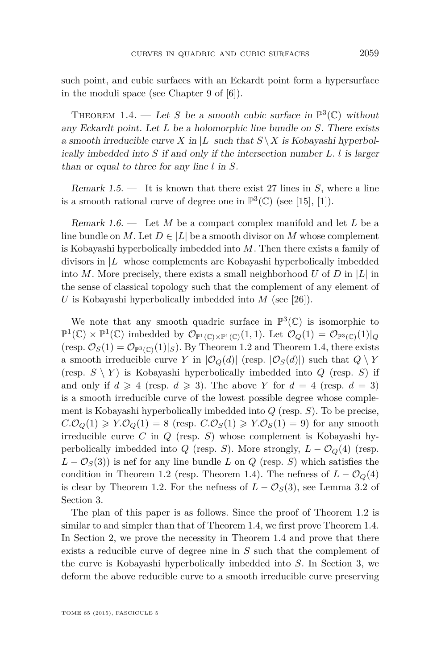<span id="page-3-0"></span>such point, and cubic surfaces with an Eckardt point form a hypersurface in the moduli space (see Chapter 9 of [\[6\]](#page-11-0)).

THEOREM 1.4. — Let *S* be a smooth cubic surface in  $\mathbb{P}^3(\mathbb{C})$  without any Eckardt point. Let *L* be a holomorphic line bundle on *S*. There exists a smooth irreducible curve *X* in |*L*| such that  $S \ X$  is Kobayashi hyperbolically imbedded into *S* if and only if the intersection number *L. l* is larger than or equal to three for any line *l* in *S*.

Remark 1.5. — It is known that there exist 27 lines in *S*, where a line is a smooth rational curve of degree one in  $\mathbb{P}^3(\mathbb{C})$  (see [\[15\]](#page-11-0), [\[1\]](#page-11-0)).

Remark 1.6. — Let *M* be a compact complex manifold and let *L* be a line bundle on *M*. Let  $D \in |L|$  be a smooth divisor on *M* whose complement is Kobayashi hyperbolically imbedded into *M*. Then there exists a family of divisors in |*L*| whose complements are Kobayashi hyperbolically imbedded into *M*. More precisely, there exists a small neighborhood *U* of *D* in  $|L|$  in the sense of classical topology such that the complement of any element of *U* is Kobayashi hyperbolically imbedded into *M* (see [\[26\]](#page-12-0)).

We note that any smooth quadric surface in  $\mathbb{P}^3(\mathbb{C})$  is isomorphic to  $\mathbb{P}^1(\mathbb{C}) \times \mathbb{P}^1(\mathbb{C})$  imbedded by  $\mathcal{O}_{\mathbb{P}^1(\mathbb{C}) \times \mathbb{P}^1(\mathbb{C})}(1,1)$ . Let  $\mathcal{O}_Q(1) = \mathcal{O}_{\mathbb{P}^3(\mathbb{C})}(1)|_Q$ (resp.  $\mathcal{O}_S(1) = \mathcal{O}_{\mathbb{P}^3(\mathbb{C})}(1)|_S$ ). By Theorem [1.2](#page-2-0) and Theorem 1.4, there exists a smooth irreducible curve *Y* in  $|\mathcal{O}_Q(d)|$  (resp.  $|\mathcal{O}_S(d)|$ ) such that  $Q \setminus Y$ (resp.  $S \setminus Y$ ) is Kobayashi hyperbolically imbedded into  $Q$  (resp.  $S$ ) if and only if  $d \ge 4$  (resp.  $d \ge 3$ ). The above Y for  $d = 4$  (resp.  $d = 3$ ) is a smooth irreducible curve of the lowest possible degree whose complement is Kobayashi hyperbolically imbedded into *Q* (resp. *S*). To be precise,  $C.\mathcal{O}_Q(1) \geq Y.\mathcal{O}_Q(1) = 8$  (resp.  $C.\mathcal{O}_S(1) \geq Y.\mathcal{O}_S(1) = 9$ ) for any smooth irreducible curve *C* in *Q* (resp. *S*) whose complement is Kobayashi hyperbolically imbedded into *Q* (resp. *S*). More strongly,  $L - \mathcal{O}_Q(4)$  (resp.  $L - \mathcal{O}_S(3)$  is nef for any line bundle *L* on *Q* (resp. *S*) which satisfies the condition in Theorem [1.2](#page-2-0) (resp. Theorem 1.4). The nefness of  $L - \mathcal{O}_Q(4)$ is clear by Theorem [1.2.](#page-2-0) For the nefness of  $L - \mathcal{O}_S(3)$ , see Lemma [3.2](#page-9-0) of Section [3.](#page-6-0)

The plan of this paper is as follows. Since the proof of Theorem [1.2](#page-2-0) is similar to and simpler than that of Theorem 1.4, we first prove Theorem 1.4. In Section [2,](#page-4-0) we prove the necessity in Theorem 1.4 and prove that there exists a reducible curve of degree nine in *S* such that the complement of the curve is Kobayashi hyperbolically imbedded into *S*. In Section [3,](#page-6-0) we deform the above reducible curve to a smooth irreducible curve preserving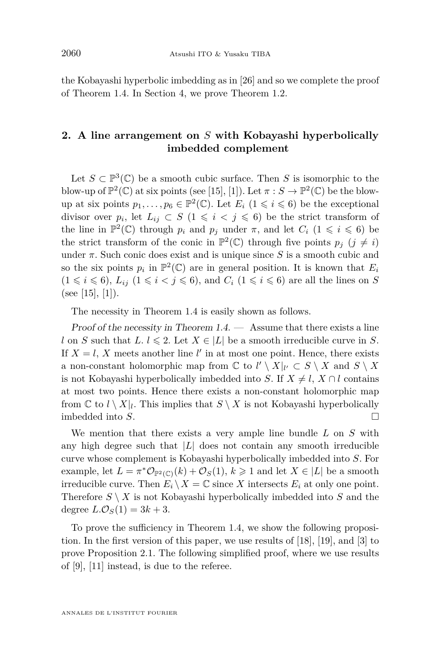<span id="page-4-0"></span>the Kobayashi hyperbolic imbedding as in [\[26\]](#page-12-0) and so we complete the proof of Theorem [1.4.](#page-3-0) In Section [4,](#page-10-0) we prove Theorem [1.2.](#page-2-0)

#### **2. A line arrangement on** *S* **with Kobayashi hyperbolically imbedded complement**

Let  $S \subset \mathbb{P}^3(\mathbb{C})$  be a smooth cubic surface. Then *S* is isomorphic to the blow-up of  $\mathbb{P}^2(\mathbb{C})$  at six points (see [\[15\]](#page-11-0), [\[1\]](#page-11-0)). Let  $\pi : S \to \mathbb{P}^2(\mathbb{C})$  be the blowup at six points  $p_1, \ldots, p_6 \in \mathbb{P}^2(\mathbb{C})$ . Let  $E_i$   $(1 \leq i \leq 6)$  be the exceptional divisor over  $p_i$ , let  $L_{ij} \subset S$  (1  $\leq i < j \leq 6$ ) be the strict transform of the line in  $\mathbb{P}^2(\mathbb{C})$  through  $p_i$  and  $p_j$  under  $\pi$ , and let  $C_i$  ( $1 \leq i \leq 6$ ) be the strict transform of the conic in  $\mathbb{P}^2(\mathbb{C})$  through five points  $p_j$  ( $j \neq i$ ) under  $\pi$ . Such conic does exist and is unique since  $S$  is a smooth cubic and so the six points  $p_i$  in  $\mathbb{P}^2(\mathbb{C})$  are in general position. It is known that  $E_i$  $(1 \leq i \leq 6)$ ,  $L_{ij}$   $(1 \leq i \leq 6)$ , and  $C_i$   $(1 \leq i \leq 6)$  are all the lines on *S* (see [\[15\]](#page-11-0), [\[1\]](#page-11-0)).

The necessity in Theorem [1.4](#page-3-0) is easily shown as follows.

Proof of the necessity in Theorem  $1.4.$  — Assume that there exists a line l on *S* such that  $L, l \leq 2$ . Let  $X \in |L|$  be a smooth irreducible curve in *S*. If  $X = l$ , X meets another line  $l'$  in at most one point. Hence, there exists a non-constant holomorphic map from  $\mathbb{C}$  to  $l' \setminus X|_{l'} \subset S \setminus X$  and  $S \setminus X$ is not Kobayashi hyperbolically imbedded into *S*. If  $X \neq l$ ,  $X \cap l$  contains at most two points. Hence there exists a non-constant holomorphic map from  $\mathbb{C}$  to  $l \setminus X|_l$ . This implies that  $S \setminus X$  is not Kobayashi hyperbolically imbedded into *S*.

We mention that there exists a very ample line bundle *L* on *S* with any high degree such that  $|L|$  does not contain any smooth irreducible curve whose complement is Kobayashi hyperbolically imbedded into *S*. For example, let  $L = \pi^* \mathcal{O}_{\mathbb{P}^2(\mathbb{C})}(k) + \mathcal{O}_S(1), k \geq 1$  and let  $X \in |L|$  be a smooth irreducible curve. Then  $E_i \setminus X = \mathbb{C}$  since X intersects  $E_i$  at only one point. Therefore  $S \setminus X$  is not Kobayashi hyperbolically imbedded into  $S$  and the degree  $L.\mathcal{O}_S(1) = 3k + 3$ .

To prove the sufficiency in Theorem [1.4,](#page-3-0) we show the following proposition. In the first version of this paper, we use results of [\[18\]](#page-12-0), [\[19\]](#page-12-0), and [\[3\]](#page-11-0) to prove Proposition [2.1.](#page-5-0) The following simplified proof, where we use results of [\[9\]](#page-11-0), [\[11\]](#page-11-0) instead, is due to the referee.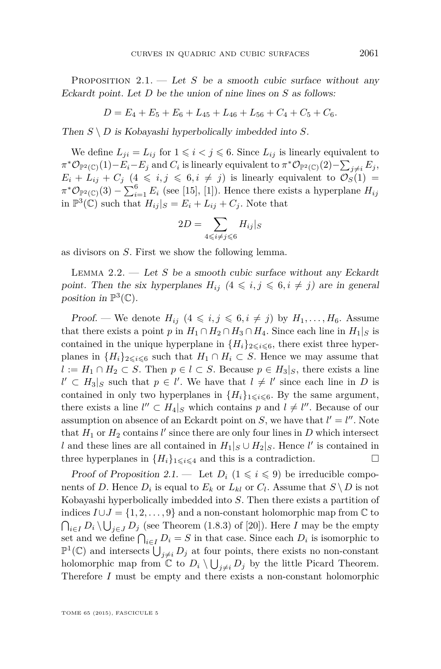<span id="page-5-0"></span>PROPOSITION  $2.1$ . — Let *S* be a smooth cubic surface without any Eckardt point. Let *D* be the union of nine lines on *S* as follows:

$$
D = E_4 + E_5 + E_6 + L_{45} + L_{46} + L_{56} + C_4 + C_5 + C_6.
$$

Then  $S \setminus D$  is Kobayashi hyperbolically imbedded into  $S$ .

We define  $L_{ji} = L_{ij}$  for  $1 \leq i \leq j \leq 6$ . Since  $L_{ij}$  is linearly equivalent to  $\pi^* \mathcal{O}_{\mathbb{P}^2(\mathbb{C})}(1) - E_i - E_j$  and  $C_i$  is linearly equivalent to  $\pi^* \mathcal{O}_{\mathbb{P}^2(\mathbb{C})}(2) - \sum_{j \neq i} E_j$ ,  $E_i + L_{ij} + C_j \ (4 \leq i, j \leq 6, i \neq j)$  is linearly equivalent to  $\mathcal{O}_S(1) =$  $\pi^* \mathcal{O}_{\mathbb{P}^2(\mathbb{C})}(3) - \sum_{i=1}^6 E_i$  (see [\[15\]](#page-11-0), [\[1\]](#page-11-0)). Hence there exists a hyperplane  $H_{ij}$ in  $\mathbb{P}^3(\mathbb{C})$  such that  $H_{ij}|_S = E_i + L_{ij} + C_j$ . Note that

$$
2D = \sum_{4 \leq i \neq j \leq 6} H_{ij}|_S
$$

as divisors on *S*. First we show the following lemma.

Lemma 2.2. — Let *S* be a smooth cubic surface without any Eckardt point. Then the six hyperplanes  $H_{ij}$   $(4 \leq i, j \leq 6, i \neq j)$  are in general position in  $\mathbb{P}^3(\mathbb{C})$ .

Proof. — We denote  $H_{ij}$   $(4 \leq i, j \leq 6, i \neq j)$  by  $H_1, \ldots, H_6$ . Assume that there exists a point *p* in  $H_1 \cap H_2 \cap H_3 \cap H_4$ . Since each line in  $H_1|_S$  is contained in the unique hyperplane in  ${H_i}_{2\leq i\leq 6}$ , there exist three hyperplanes in  ${H_i}_{2 \le i \le 6}$  such that  $H_1 \cap H_i \subset S$ . Hence we may assume that *l* := *H*<sub>1</sub> ∩ *H*<sub>2</sub> ⊂ *S*. Then  $p \in l$  ⊂ *S*. Because  $p \in H_3|_S$ , there exists a line  $l' \subset H_3|_S$  such that  $p \in l'$ . We have that  $l \neq l'$  since each line in *D* is contained in only two hyperplanes in  ${H_i}_{1\leq i\leq 6}$ . By the same argument, there exists a line  $l'' \subset H_4|_S$  which contains p and  $l \neq l''$ . Because of our assumption on absence of an Eckardt point on *S*, we have that  $l' = l''$ . Note that  $H_1$  or  $H_2$  contains  $l'$  since there are only four lines in  $D$  which intersect *l* and these lines are all contained in  $H_1|_S \cup H_2|_S$ . Hence *l*<sup>'</sup> is contained in three hyperplanes in  ${H_i}_{1 \le i \le 4}$  and this is a contradiction.

Proof of Proposition 2.1. — Let  $D_i$   $(1 \leq i \leq 9)$  be irreducible components of *D*. Hence  $D_i$  is equal to  $E_k$  or  $L_{kl}$  or  $C_l$ . Assume that  $S \setminus D$  is not Kobayashi hyperbolically imbedded into *S*. Then there exists a partition of indices  $I \cup J = \{1, 2, ..., 9\}$  and a non-constant holomorphic map from  $\mathbb C$  to  $\bigcap_{i \in I} D_i \setminus \bigcup_{j \in J} D_j$  (see Theorem (1.8.3) of [\[20\]](#page-12-0)). Here *I* may be the empty set and we define  $\bigcap_{i \in I} D_i = S$  in that case. Since each  $D_i$  is isomorphic to  $\mathbb{P}^1(\mathbb{C})$  and intersects  $\bigcup_{j\neq i} D_j$  at four points, there exists no non-constant holomorphic map from  $\mathbb{C}$  to  $D_i \setminus \bigcup_{j \neq i} D_j$  by the little Picard Theorem. Therefore *I* must be empty and there exists a non-constant holomorphic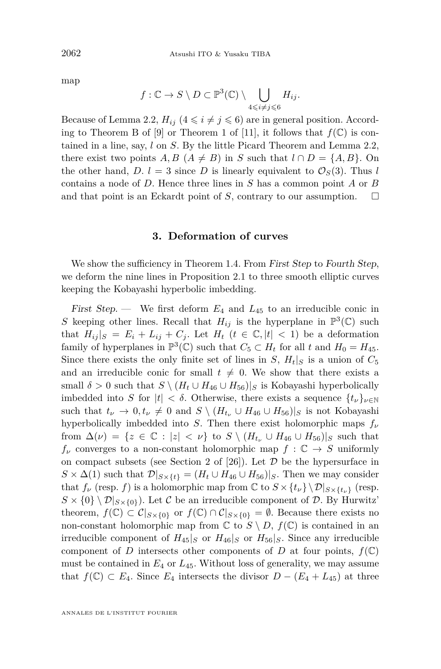<span id="page-6-0"></span>map

$$
f: \mathbb{C} \to S \setminus D \subset \mathbb{P}^3(\mathbb{C}) \setminus \bigcup_{4 \leq i \neq j \leq 6} H_{ij}.
$$

Because of Lemma [2.2,](#page-5-0)  $H_{ij}$  ( $4 \leq i \neq j \leq 6$ ) are in general position. Accord-ing to Theorem B of [\[9\]](#page-11-0) or Theorem 1 of [\[11\]](#page-11-0), it follows that  $f(\mathbb{C})$  is contained in a line, say, *l* on *S*. By the little Picard Theorem and Lemma [2.2,](#page-5-0) there exist two points  $A, B \ (A \neq B)$  in *S* such that  $l \cap D = \{A, B\}$ . On the other hand,  $D_l$ . *l* = 3 since *D* is linearly equivalent to  $\mathcal{O}_S(3)$ . Thus *l* contains a node of *D*. Hence three lines in *S* has a common point *A* or *B* and that point is an Eckardt point of *S*, contrary to our assumption.  $\Box$ 

#### **3. Deformation of curves**

We show the sufficiency in Theorem [1.4.](#page-3-0) From First Step to Fourth Step, we deform the nine lines in Proposition [2.1](#page-5-0) to three smooth elliptic curves keeping the Kobayashi hyperbolic imbedding.

First Step. — We first deform  $E_4$  and  $L_{45}$  to an irreducible conic in *S* keeping other lines. Recall that  $H_{ij}$  is the hyperplane in  $\mathbb{P}^3(\mathbb{C})$  such that  $H_{ij}|_S = E_i + L_{ij} + C_j$ . Let  $H_t$  ( $t \in \mathbb{C}, |t| < 1$ ) be a deformation family of hyperplanes in  $\mathbb{P}^3(\mathbb{C})$  such that  $C_5 \subset H_t$  for all  $t$  and  $H_0 = H_{45}$ . Since there exists the only finite set of lines in *S*,  $H_t|_S$  is a union of  $C_5$ and an irreducible conic for small  $t \neq 0$ . We show that there exists a small  $\delta > 0$  such that  $S \setminus (H_t \cup H_{46} \cup H_{56})|_S$  is Kobayashi hyperbolically imbedded into *S* for  $|t| < \delta$ . Otherwise, there exists a sequence  $\{t_{\nu}\}_{\nu \in \mathbb{N}}$ such that  $t_{\nu} \to 0, t_{\nu} \neq 0$  and  $S \setminus (H_{t_{\nu}} \cup H_{46} \cup H_{56})|_S$  is not Kobayashi hyperbolically imbedded into *S*. Then there exist holomorphic maps  $f_\nu$ from  $\Delta(\nu) = \{z \in \mathbb{C} : |z| < \nu\}$  to  $S \setminus (H_{t_{\nu}} \cup H_{46} \cup H_{56})|_S$  such that  $f_{\nu}$  converges to a non-constant holomorphic map  $f : \mathbb{C} \to S$  uniformly on compact subsets (see Section 2 of  $[26]$ ). Let  $D$  be the hypersurface in  $S \times \Delta(1)$  such that  $\mathcal{D}|_{S \times \{t\}} = (H_t \cup H_{46} \cup H_{56})|_S$ . Then we may consider that  $f_\nu$  (resp. *f*) is a holomorphic map from  $\mathbb{C}$  to  $S \times \{t_\nu\} \setminus \mathcal{D}|_{S \times \{t_\nu\}}$  (resp.  $S \times \{0\} \setminus \mathcal{D}|_{S \times \{0\}}$ . Let C be an irreducible component of D. By Hurwitz' theorem,  $f(\mathbb{C}) \subset \mathcal{C}|_{S \times \{0\}}$  or  $f(\mathbb{C}) \cap \mathcal{C}|_{S \times \{0\}} = \emptyset$ . Because there exists no non-constant holomorphic map from  $\mathbb C$  to  $S \setminus D$ ,  $f(\mathbb C)$  is contained in an irreducible component of  $H_{45}|_S$  or  $H_{46}|_S$  or  $H_{56}|_S$ . Since any irreducible component of *D* intersects other components of *D* at four points,  $f(\mathbb{C})$ must be contained in *E*<sup>4</sup> or *L*45. Without loss of generality, we may assume that  $f$ (*ℂ*) ⊂ *E*<sub>4</sub>. Since *E*<sub>4</sub> intersects the divisor *D* − (*E*<sub>4</sub> + *L*<sub>45</sub>) at three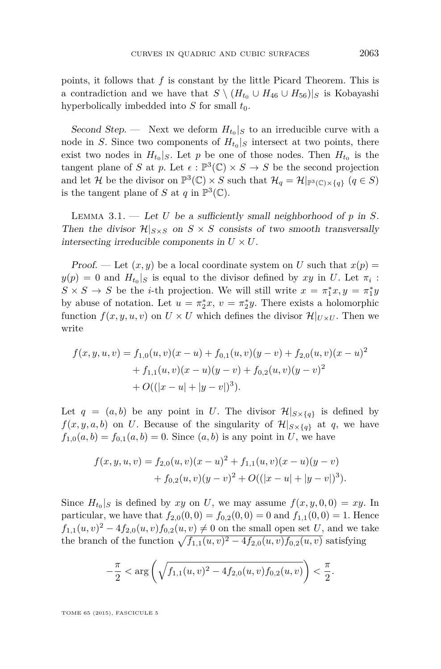<span id="page-7-0"></span>points, it follows that *f* is constant by the little Picard Theorem. This is a contradiction and we have that  $S \setminus (H_{t_0} \cup H_{46} \cup H_{56})|_S$  is Kobayashi hyperbolically imbedded into  $S$  for small  $t_0$ .

Second Step. — Next we deform  $H_{t_0}|_S$  to an irreducible curve with a node in *S*. Since two components of  $H_{t_0}|_S$  intersect at two points, there exist two nodes in  $H_{t_0}|_S$ . Let *p* be one of those nodes. Then  $H_{t_0}$  is the tangent plane of *S* at *p*. Let  $\epsilon : \mathbb{P}^3(\mathbb{C}) \times S \to S$  be the second projection and let H be the divisor on  $\mathbb{P}^3(\mathbb{C}) \times S$  such that  $\mathcal{H}_q = \mathcal{H}|_{\mathbb{P}^3(\mathbb{C}) \times \{q\}}$   $(q \in S)$ is the tangent plane of *S* at *q* in  $\mathbb{P}^3(\mathbb{C})$ .

LEMMA  $3.1.$  — Let *U* be a sufficiently small neighborhood of  $p$  in  $S$ . Then the divisor  $\mathcal{H}|_{S \times S}$  on  $S \times S$  consists of two smooth transversally intersecting irreducible components in  $U \times U$ .

Proof. — Let  $(x, y)$  be a local coordinate system on U such that  $x(p) =$  $y(p) = 0$  and  $H_{t_0}|_S$  is equal to the divisor defined by *xy* in *U*. Let  $\pi_i$ :  $S \times S \rightarrow S$  be the *i*-th projection. We will still write  $x = \pi_1^* x, y = \pi_1^* y$ by abuse of notation. Let  $u = \pi_2^* x$ ,  $v = \pi_2^* y$ . There exists a holomorphic function  $f(x, y, u, v)$  on  $U \times U$  which defines the divisor  $\mathcal{H}|_{U \times U}$ . Then we write

$$
f(x, y, u, v) = f_{1,0}(u, v)(x - u) + f_{0,1}(u, v)(y - v) + f_{2,0}(u, v)(x - u)^2
$$
  
+  $f_{1,1}(u, v)(x - u)(y - v) + f_{0,2}(u, v)(y - v)^2$   
+  $O((|x - u| + |y - v|)^3).$ 

Let  $q = (a, b)$  be any point in *U*. The divisor  $\mathcal{H}|_{S \times \{q\}}$  is defined by  $f(x, y, a, b)$  on *U*. Because of the singularity of  $\mathcal{H}|_{S \times \{q\}}$  at *q*, we have  $f_{1,0}(a, b) = f_{0,1}(a, b) = 0$ . Since  $(a, b)$  is any point in *U*, we have

$$
f(x, y, u, v) = f_{2,0}(u, v)(x - u)^{2} + f_{1,1}(u, v)(x - u)(y - v)
$$
  
+ 
$$
f_{0,2}(u, v)(y - v)^{2} + O((|x - u| + |y - v|)^{3}).
$$

Since  $H_{t_0}|_S$  is defined by  $xy$  on *U*, we may assume  $f(x, y, 0, 0) = xy$ . In particular, we have that  $f_{2,0}(0,0) = f_{0,2}(0,0) = 0$  and  $f_{1,1}(0,0) = 1$ . Hence  $f_{1,1}(u, v)^2 - 4f_{2,0}(u, v)f_{0,2}(u, v) \neq 0$  on the small open set *U*, and we take the branch of the function  $\sqrt{f_{1,1}(u,v)^2 - 4f_{2,0}(u,v)f_{0,2}(u,v)}$  satisfying

$$
-\frac{\pi}{2} < \arg\left(\sqrt{f_{1,1}(u,v)^2 - 4f_{2,0}(u,v)f_{0,2}(u,v)}\right) < \frac{\pi}{2}.
$$

TOME 65 (2015), FASCICULE 5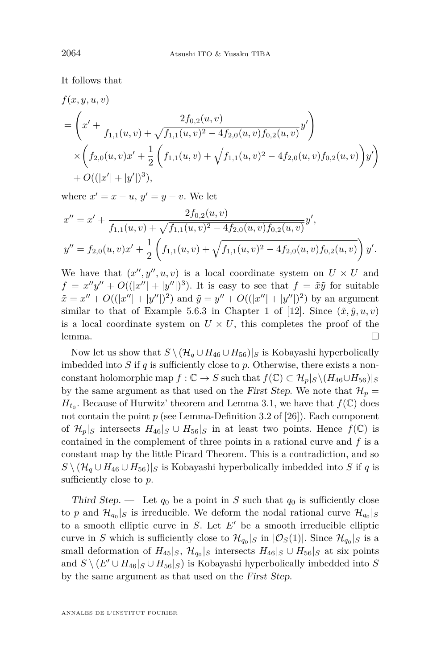It follows that

$$
f(x, y, u, v)
$$
  
=  $\left(x' + \frac{2f_{0,2}(u, v)}{f_{1,1}(u, v) + \sqrt{f_{1,1}(u, v)^2 - 4f_{2,0}(u, v)f_{0,2}(u, v)}}y'\right)$   
 $\times \left(f_{2,0}(u, v)x' + \frac{1}{2}\left(f_{1,1}(u, v) + \sqrt{f_{1,1}(u, v)^2 - 4f_{2,0}(u, v)f_{0,2}(u, v)}\right)y'\right)$   
+  $O((|x'| + |y'|)^3),$ 

where  $x' = x - u$ ,  $y' = y - v$ . We let

$$
x'' = x' + \frac{2f_{0,2}(u,v)}{f_{1,1}(u,v) + \sqrt{f_{1,1}(u,v)^2 - 4f_{2,0}(u,v)f_{0,2}(u,v)}}y',
$$
  

$$
y'' = f_{2,0}(u,v)x' + \frac{1}{2}\left(f_{1,1}(u,v) + \sqrt{f_{1,1}(u,v)^2 - 4f_{2,0}(u,v)f_{0,2}(u,v)}\right)y'.
$$

We have that  $(x'', y'', u, v)$  is a local coordinate system on  $U \times U$  and  $f = x''y'' + O((|x''| + |y''|)^3)$ . It is easy to see that  $f = \tilde{x}\tilde{y}$  for suitable  $\tilde{x} = x'' + O((|x''| + |y''|)^2)$  and  $\tilde{y} = y'' + O((|x''| + |y''|)^2)$  by an argument similar to that of Example 5.6.3 in Chapter 1 of [\[12\]](#page-11-0). Since  $(\tilde{x}, \tilde{y}, u, v)$ is a local coordinate system on  $U \times U$ , this completes the proof of the lemma. □

Now let us show that  $S \setminus (\mathcal{H}_q \cup H_{46} \cup H_{56})|_S$  is Kobayashi hyperbolically imbedded into *S* if *q* is sufficiently close to *p*. Otherwise, there exists a nonconstant holomorphic map  $f: \mathbb{C} \to S$  such that  $f(\mathbb{C}) \subset \mathcal{H}_p|_S \setminus (H_{46} \cup H_{56})|_S$ by the same argument as that used on the First Step. We note that  $\mathcal{H}_p =$  $H_{t_0}$ . Because of Hurwitz' theorem and Lemma [3.1,](#page-7-0) we have that  $f(\mathbb{C})$  does not contain the point *p* (see Lemma-Definition 3.2 of [\[26\]](#page-12-0)). Each component of  $\mathcal{H}_p|_S$  intersects  $H_{46}|_S \cup H_{56}|_S$  in at least two points. Hence  $f(\mathbb{C})$  is contained in the complement of three points in a rational curve and *f* is a constant map by the little Picard Theorem. This is a contradiction, and so *S* \ ( $\mathcal{H}_q$  ∪ *H*<sub>46</sub> ∪ *H*<sub>56</sub>)|*S* is Kobayashi hyperbolically imbedded into *S* if *q* is sufficiently close to *p*.

Third Step. — Let  $q_0$  be a point in *S* such that  $q_0$  is sufficiently close to *p* and  $\mathcal{H}_{q_0}|_S$  is irreducible. We deform the nodal rational curve  $\mathcal{H}_{q_0}|_S$ to a smooth elliptic curve in  $S$ . Let  $E'$  be a smooth irreducible elliptic curve in *S* which is sufficiently close to  $\mathcal{H}_{q_0}|_S$  in  $|\mathcal{O}_S(1)|$ . Since  $\mathcal{H}_{q_0}|_S$  is a small deformation of  $H_{45}|_S$ ,  $\mathcal{H}_{q_0}|_S$  intersects  $H_{46}|_S \cup H_{56}|_S$  at six points and  $S \setminus (E' \cup H_{46}|_S \cup H_{56}|_S)$  is Kobayashi hyperbolically imbedded into *S* by the same argument as that used on the First Step.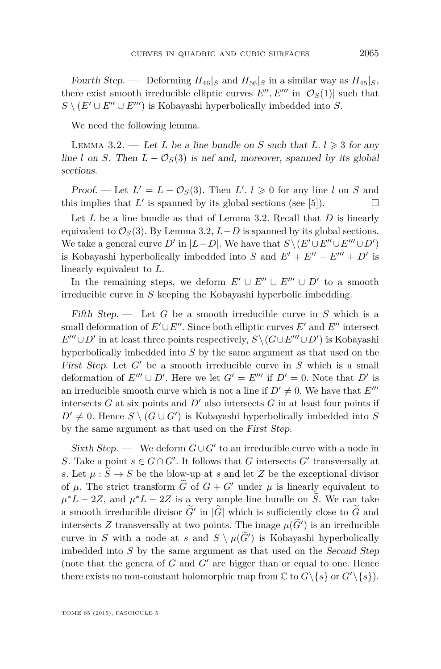<span id="page-9-0"></span>Fourth Step. — Deforming  $H_{46}|_S$  and  $H_{56}|_S$  in a similar way as  $H_{45}|_S$ , there exist smooth irreducible elliptic curves  $E'', E'''$  in  $|\mathcal{O}_S(1)|$  such that  $S \setminus (E' \cup E'' \cup E''')$  is Kobayashi hyperbolically imbedded into *S*.

We need the following lemma.

LEMMA 3.2. — Let *L* be a line bundle on *S* such that  $L, l \geq 3$  for any line *l* on *S*. Then  $L - \mathcal{O}_S(3)$  is nef and, moreover, spanned by its global sections.

Proof. — Let  $L' = L - \mathcal{O}_S(3)$ . Then  $L'$ .  $l \geq 0$  for any line *l* on *S* and this implies that  $L'$  is spanned by its global sections (see [\[5\]](#page-11-0)).

Let *L* be a line bundle as that of Lemma 3.2. Recall that *D* is linearly equivalent to  $\mathcal{O}_S(3)$ . By Lemma 3.2, *L*−*D* is spanned by its global sections. We take a general curve  $D'$  in  $|L-D|$ . We have that  $S \setminus (E' \cup E'' \cup E''' \cup D')$ is Kobayashi hyperbolically imbedded into *S* and  $E' + E'' + E''' + D'$  is linearly equivalent to *L*.

In the remaining steps, we deform  $E' \cup E'' \cup E''' \cup D'$  to a smooth irreducible curve in *S* keeping the Kobayashi hyperbolic imbedding.

Fifth Step. — Let *G* be a smooth irreducible curve in *S* which is a small deformation of  $E' \cup E''$ . Since both elliptic curves  $E'$  and  $E''$  intersect  $E^{\prime\prime\prime} \cup D^{\prime}$  in at least three points respectively,  $S \setminus (G \cup E^{\prime\prime\prime} \cup D^{\prime})$  is Kobayashi hyperbolically imbedded into *S* by the same argument as that used on the First Step. Let  $G'$  be a smooth irreducible curve in  $S$  which is a small deformation of  $E''' \cup D'$ . Here we let  $G' = E'''$  if  $D' = 0$ . Note that  $D'$  is an irreducible smooth curve which is not a line if  $D' \neq 0$ . We have that  $E'''$ intersects  $G$  at six points and  $D'$  also intersects  $G$  in at least four points if  $D' \neq 0$ . Hence  $S \setminus (G \cup G')$  is Kobayashi hyperbolically imbedded into *S* by the same argument as that used on the First Step.

Sixth Step. — We deform  $G \cup G'$  to an irreducible curve with a node in *S*. Take a point  $s \in G \cap G'$ . It follows that *G* intersects  $G'$  transversally at *s*. Let  $\mu : \tilde{S} \to S$  be the blow-up at *s* and let *Z* be the exceptional divisor of  $\mu$ . The strict transform  $\tilde{G}$  of  $G + G'$  under  $\mu$  is linearly equivalent to  $\mu^*L - 2Z$ , and  $\mu^*L - 2Z$  is a very ample line bundle on  $\widetilde{S}$ . We can take a smooth irreducible divisor  $\tilde{G}'$  in  $|\tilde{G}|$  which is sufficiently close to  $\tilde{G}$  and intersects *Z* transversally at two points. The image  $\mu(\tilde{G}')$  is an irreducible curve in *S* with a node at *s* and  $S \setminus \mu(\widetilde{G}')$  is Kobayashi hyperbolically imbedded into *S* by the same argument as that used on the Second Step (note that the genera of  $G$  and  $G'$  are bigger than or equal to one. Hence there exists no non-constant holomorphic map from  $\mathbb{C}$  to  $G\setminus\{s\}$  or  $G'\setminus\{s\}$ .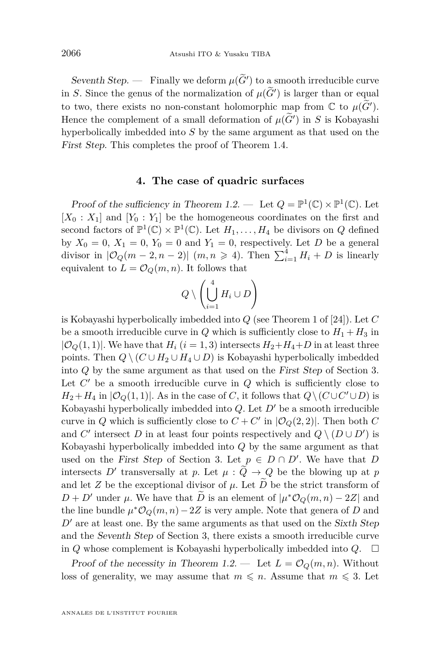<span id="page-10-0"></span>Seventh Step. — Finally we deform  $\mu(\tilde{G}')$  to a smooth irreducible curve in *S*. Since the genus of the normalization of  $\mu(G')$  is larger than or equal  $\widetilde{S}(\widetilde{G})$ to two, there exists no non-constant holomorphic map from  $\mathbb{C}$  to  $\mu(\widetilde{G}')$ . Hence the complement of a small deformation of  $\mu(G')$  in *S* is Kobayashi hyperbolically imbedded into *S* by the same argument as that used on the First Step. This completes the proof of Theorem [1.4.](#page-3-0)

#### **4. The case of quadric surfaces**

Proof of the sufficiency in Theorem [1.2.](#page-2-0) — Let  $Q = \mathbb{P}^1(\mathbb{C}) \times \mathbb{P}^1(\mathbb{C})$ . Let  $[X_0 : X_1]$  and  $[Y_0 : Y_1]$  be the homogeneous coordinates on the first and second factors of  $\mathbb{P}^1(\mathbb{C}) \times \mathbb{P}^1(\mathbb{C})$ . Let  $H_1, \ldots, H_4$  be divisors on *Q* defined by  $X_0 = 0$ ,  $X_1 = 0$ ,  $Y_0 = 0$  and  $Y_1 = 0$ , respectively. Let *D* be a general divisor in  $|\mathcal{O}_Q(m-2,n-2)|$   $(m,n \geq 4)$ . Then  $\sum_{i=1}^4 H_i + D$  is linearly equivalent to  $L = \mathcal{O}_Q(m, n)$ . It follows that

$$
Q \setminus \left(\bigcup_{i=1}^4 H_i \cup D\right)
$$

is Kobayashi hyperbolically imbedded into *Q* (see Theorem 1 of [\[24\]](#page-12-0)). Let *C* be a smooth irreducible curve in *Q* which is sufficiently close to  $H_1 + H_3$  in  $|\mathcal{O}_Q(1,1)|$ . We have that  $H_i$  ( $i=1,3$ ) intersects  $H_2 + H_4 + D$  in at least three points. Then  $Q \setminus (C \cup H_2 \cup H_4 \cup D)$  is Kobayashi hyperbolically imbedded into *Q* by the same argument as that used on the First Step of Section [3.](#page-6-0) Let  $C'$  be a smooth irreducible curve in  $Q$  which is sufficiently close to  $H_2 + H_4$  in  $|\mathcal{O}_Q(1,1)|$ . As in the case of *C*, it follows that  $Q \setminus (C \cup C' \cup D)$  is Kobayashi hyperbolically imbedded into  $Q$ . Let  $D'$  be a smooth irreducible curve in *Q* which is sufficiently close to  $C + C'$  in  $|\mathcal{O}_Q(2, 2)|$ . Then both *C* and *C'* intersect *D* in at least four points respectively and  $Q \setminus (D \cup D')$  is Kobayashi hyperbolically imbedded into *Q* by the same argument as that used on the First Step of Section [3.](#page-6-0) Let  $p \in D \cap D'$ . We have that *D* intersects *D'* transversally at *p*. Let  $\mu : \tilde{Q} \to Q$  be the blowing up at *p* and let *Z* be the exceptional divisor of  $\mu$ . Let  $\overline{D}$  be the strict transform of  $D + D'$  under  $\mu$ . We have that  $\tilde{D}$  is an element of  $|\mu^*O_Q(m,n) - 2Z|$  and the line bundle  $\mu^* \mathcal{O}_Q(m,n) - 2Z$  is very ample. Note that genera of *D* and  $D<sup>0</sup>$  are at least one. By the same arguments as that used on the Sixth Step and the Seventh Step of Section [3,](#page-6-0) there exists a smooth irreducible curve in *Q* whose complement is Kobayashi hyperbolically imbedded into  $Q$ .  $\Box$ 

Proof of the necessity in Theorem [1.2.](#page-2-0) — Let  $L = \mathcal{O}_Q(m, n)$ . Without loss of generality, we may assume that  $m \leq n$ . Assume that  $m \leq 3$ . Let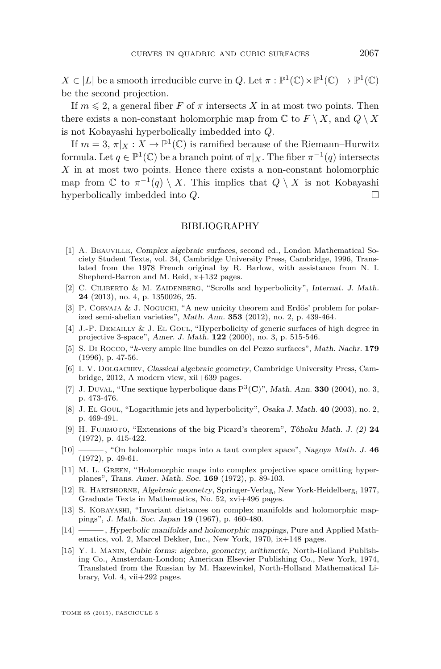<span id="page-11-0"></span> $X \in |L|$  be a smooth irreducible curve in *Q*. Let  $\pi : \mathbb{P}^1(\mathbb{C}) \times \mathbb{P}^1(\mathbb{C}) \to \mathbb{P}^1(\mathbb{C})$ be the second projection.

If  $m \leq 2$ , a general fiber *F* of  $\pi$  intersects *X* in at most two points. Then there exists a non-constant holomorphic map from  $\mathbb{C}$  to  $F \setminus X$ , and  $Q \setminus X$ is not Kobayashi hyperbolically imbedded into *Q*.

If  $m = 3, \pi|_X : X \to \mathbb{P}^1(\mathbb{C})$  is ramified because of the Riemann–Hurwitz formula. Let  $q \in \mathbb{P}^1(\mathbb{C})$  be a branch point of  $\pi|_X$ . The fiber  $\pi^{-1}(q)$  intersects *X* in at most two points. Hence there exists a non-constant holomorphic map from  $\mathbb{C}$  to  $\pi^{-1}(q) \setminus X$ . This implies that  $Q \setminus X$  is not Kobayashi hyperbolically imbedded into *Q*.

#### BIBLIOGRAPHY

- [1] A. Beauville, Complex algebraic surfaces, second ed., London Mathematical Society Student Texts, vol. 34, Cambridge University Press, Cambridge, 1996, Translated from the 1978 French original by R. Barlow, with assistance from N. I. Shepherd-Barron and M. Reid, x+132 pages.
- [2] C. CILIBERTO & M. ZAIDENBERG, "Scrolls and hyperbolicity", Internat. J. Math. **24** (2013), no. 4, p. 1350026, 25.
- [3] P. CORVAJA & J. NOGUCHI, "A new unicity theorem and Erdös' problem for polarized semi-abelian varieties", Math. Ann. **353** (2012), no. 2, p. 439-464.
- [4] J.-P. DEMAILLY & J. EL GOUL, "Hyperbolicity of generic surfaces of high degree in projective 3-space", Amer. J. Math. **122** (2000), no. 3, p. 515-546.
- [5] S. Di Rocco, "*k*-very ample line bundles on del Pezzo surfaces", Math. Nachr. **179** (1996), p. 47-56.
- [6] I. V. DOLGACHEV, Classical algebraic geometry, Cambridge University Press, Cambridge, 2012, A modern view, xii+639 pages.
- [7] J. DUVAL, "Une sextique hyperbolique dans  $P^3(\mathbf{C})$ ", Math. Ann. **330** (2004), no. 3, p. 473-476.
- [8] J. El Goul, "Logarithmic jets and hyperbolicity", Osaka J. Math. **40** (2003), no. 2, p. 469-491.
- [9] H. Fujimoto, "Extensions of the big Picard's theorem", Tôhoku Math. J. (2) **24** (1972), p. 415-422.
- [10] ——— , "On holomorphic maps into a taut complex space", Nagoya Math. J. **46** (1972), p. 49-61.
- [11] M. L. GREEN, "Holomorphic maps into complex projective space omitting hyperplanes", Trans. Amer. Math. Soc. **169** (1972), p. 89-103.
- [12] R. Hartshorne, Algebraic geometry, Springer-Verlag, New York-Heidelberg, 1977, Graduate Texts in Mathematics, No. 52, xvi+496 pages.
- [13] S. Kobayashi, "Invariant distances on complex manifolds and holomorphic mappings", J. Math. Soc. Japan **19** (1967), p. 460-480.
- [14] ——— , Hyperbolic manifolds and holomorphic mappings, Pure and Applied Mathematics, vol. 2, Marcel Dekker, Inc., New York, 1970, ix+148 pages.
- [15] Y. I. Manin, Cubic forms: algebra, geometry, arithmetic, North-Holland Publishing Co., Amsterdam-London; American Elsevier Publishing Co., New York, 1974, Translated from the Russian by M. Hazewinkel, North-Holland Mathematical Library, Vol. 4, vii+292 pages.